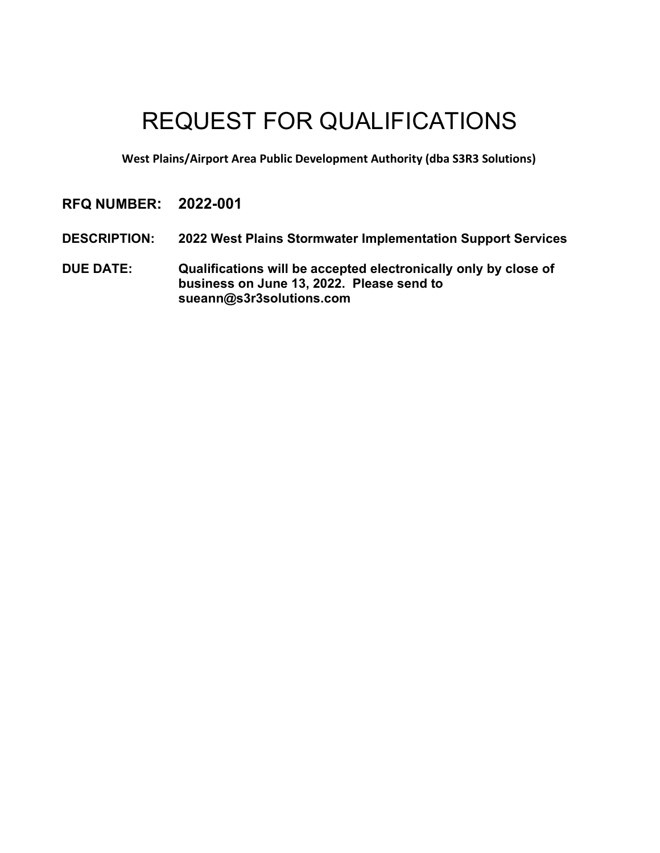# REQUEST FOR QUALIFICATIONS

**West Plains/Airport Area Public Development Authority (dba S3R3 Solutions)**

## **RFQ NUMBER: 2022-001**

- **DESCRIPTION: 2022 West Plains Stormwater Implementation Support Services**
- **DUE DATE: Qualifications will be accepted electronically only by close of business on June 13, 2022. Please send to sueann@s3r3solutions.com**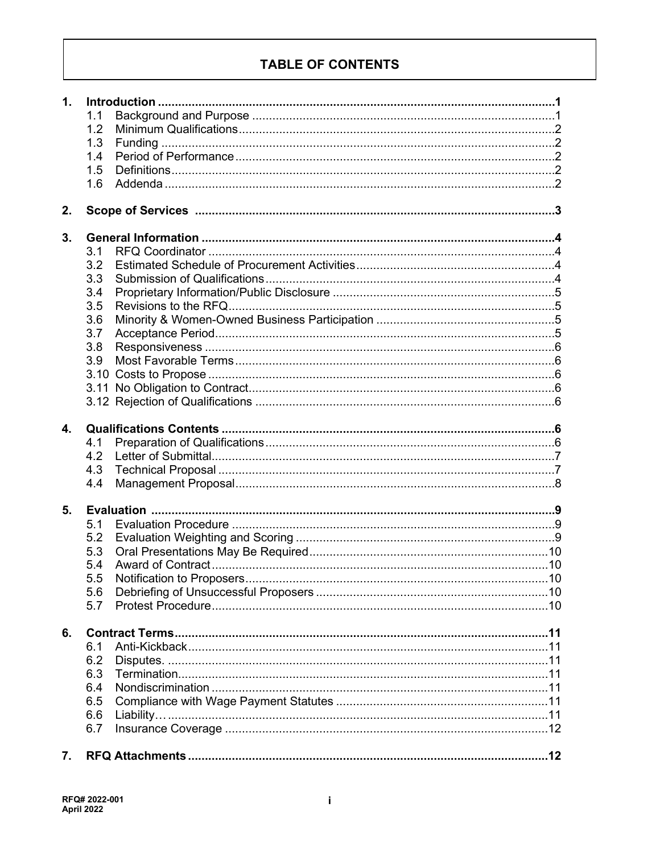## **TABLE OF CONTENTS**

| $\mathbf 1$ . |     |  |  |  |  |
|---------------|-----|--|--|--|--|
|               | 1.1 |  |  |  |  |
|               | 1.2 |  |  |  |  |
|               | 1.3 |  |  |  |  |
|               | 1.4 |  |  |  |  |
|               | 1.5 |  |  |  |  |
|               | 1.6 |  |  |  |  |
|               |     |  |  |  |  |
| 2.            |     |  |  |  |  |
| 3.            |     |  |  |  |  |
|               | 3.1 |  |  |  |  |
|               | 3.2 |  |  |  |  |
|               | 3.3 |  |  |  |  |
|               | 3.4 |  |  |  |  |
|               | 3.5 |  |  |  |  |
|               | 3.6 |  |  |  |  |
|               | 3.7 |  |  |  |  |
|               | 3.8 |  |  |  |  |
|               | 3.9 |  |  |  |  |
|               |     |  |  |  |  |
|               |     |  |  |  |  |
|               |     |  |  |  |  |
|               |     |  |  |  |  |
| 4.            |     |  |  |  |  |
|               | 4.1 |  |  |  |  |
|               | 4.2 |  |  |  |  |
|               | 4.3 |  |  |  |  |
|               | 4.4 |  |  |  |  |
|               |     |  |  |  |  |
| 5.            |     |  |  |  |  |
|               | 5.1 |  |  |  |  |
|               | 5.2 |  |  |  |  |
|               | 5.3 |  |  |  |  |
|               | 5.4 |  |  |  |  |
|               | 5.5 |  |  |  |  |
|               | 5.6 |  |  |  |  |
|               | 5.7 |  |  |  |  |
| 6.            |     |  |  |  |  |
|               | 6.1 |  |  |  |  |
|               |     |  |  |  |  |
|               | 6.2 |  |  |  |  |
|               | 6.3 |  |  |  |  |
|               | 6.4 |  |  |  |  |
|               | 6.5 |  |  |  |  |
|               | 6.6 |  |  |  |  |
|               | 6.7 |  |  |  |  |
| 7.            |     |  |  |  |  |
|               |     |  |  |  |  |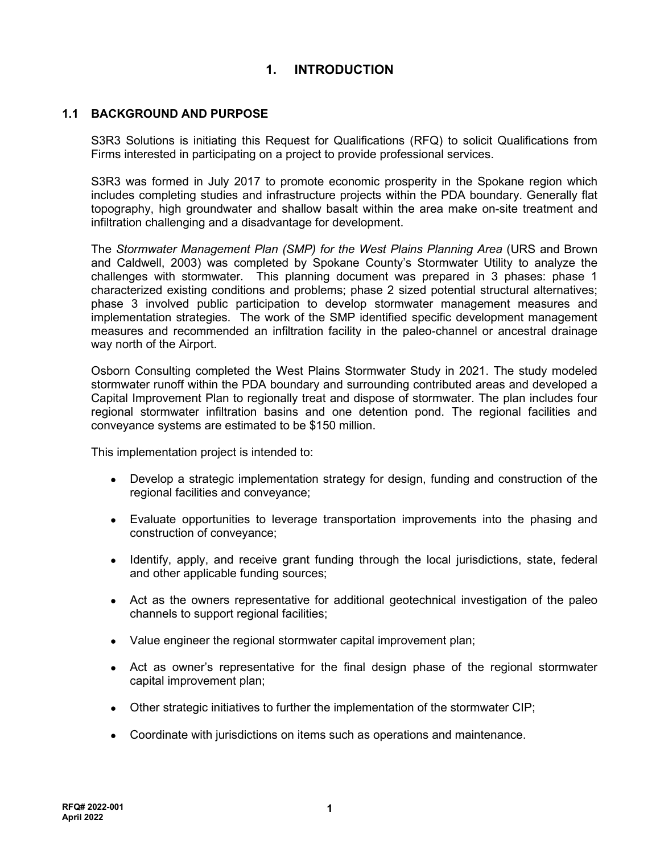## **1. INTRODUCTION**

## **1.1 BACKGROUND AND PURPOSE**

S3R3 Solutions is initiating this Request for Qualifications (RFQ) to solicit Qualifications from Firms interested in participating on a project to provide professional services.

S3R3 was formed in July 2017 to promote economic prosperity in the Spokane region which includes completing studies and infrastructure projects within the PDA boundary. Generally flat topography, high groundwater and shallow basalt within the area make on-site treatment and infiltration challenging and a disadvantage for development.

The *Stormwater Management Plan (SMP) for the West Plains Planning Area* (URS and Brown and Caldwell, 2003) was completed by Spokane County's Stormwater Utility to analyze the challenges with stormwater. This planning document was prepared in 3 phases: phase 1 characterized existing conditions and problems; phase 2 sized potential structural alternatives; phase 3 involved public participation to develop stormwater management measures and implementation strategies. The work of the SMP identified specific development management measures and recommended an infiltration facility in the paleo-channel or ancestral drainage way north of the Airport.

Osborn Consulting completed the West Plains Stormwater Study in 2021. The study modeled stormwater runoff within the PDA boundary and surrounding contributed areas and developed a Capital Improvement Plan to regionally treat and dispose of stormwater. The plan includes four regional stormwater infiltration basins and one detention pond. The regional facilities and conveyance systems are estimated to be \$150 million.

This implementation project is intended to:

- Develop a strategic implementation strategy for design, funding and construction of the regional facilities and conveyance;
- Evaluate opportunities to leverage transportation improvements into the phasing and construction of conveyance;
- Identify, apply, and receive grant funding through the local jurisdictions, state, federal and other applicable funding sources;
- Act as the owners representative for additional geotechnical investigation of the paleo channels to support regional facilities;
- Value engineer the regional stormwater capital improvement plan;
- Act as owner's representative for the final design phase of the regional stormwater capital improvement plan;
- Other strategic initiatives to further the implementation of the stormwater CIP;
- Coordinate with jurisdictions on items such as operations and maintenance.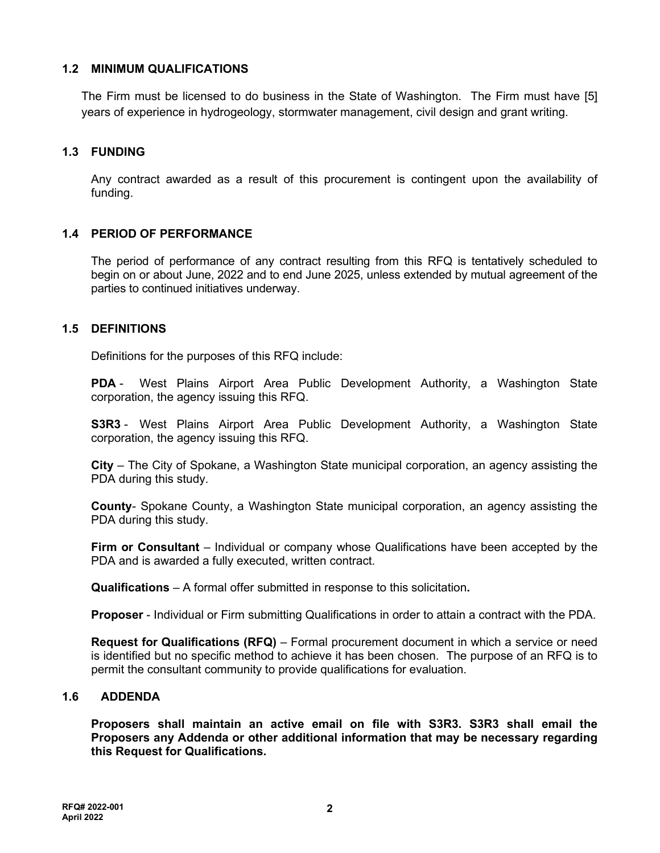## **1.2 MINIMUM QUALIFICATIONS**

The Firm must be licensed to do business in the State of Washington. The Firm must have [5] years of experience in hydrogeology, stormwater management, civil design and grant writing.

## **1.3 FUNDING**

Any contract awarded as a result of this procurement is contingent upon the availability of funding.

## **1.4 PERIOD OF PERFORMANCE**

The period of performance of any contract resulting from this RFQ is tentatively scheduled to begin on or about June, 2022 and to end June 2025, unless extended by mutual agreement of the parties to continued initiatives underway.

## **1.5 DEFINITIONS**

Definitions for the purposes of this RFQ include:

**PDA** - West Plains Airport Area Public Development Authority, a Washington State corporation, the agency issuing this RFQ.

**S3R3** - West Plains Airport Area Public Development Authority, a Washington State corporation, the agency issuing this RFQ.

**City** – The City of Spokane, a Washington State municipal corporation, an agency assisting the PDA during this study.

**County**- Spokane County, a Washington State municipal corporation, an agency assisting the PDA during this study.

**Firm or Consultant** – Individual or company whose Qualifications have been accepted by the PDA and is awarded a fully executed, written contract.

**Qualifications** – A formal offer submitted in response to this solicitation**.** 

**Proposer** - Individual or Firm submitting Qualifications in order to attain a contract with the PDA.

**Request for Qualifications (RFQ)** – Formal procurement document in which a service or need is identified but no specific method to achieve it has been chosen. The purpose of an RFQ is to permit the consultant community to provide qualifications for evaluation.

## **1.6 ADDENDA**

**Proposers shall maintain an active email on file with S3R3. S3R3 shall email the Proposers any Addenda or other additional information that may be necessary regarding this Request for Qualifications.**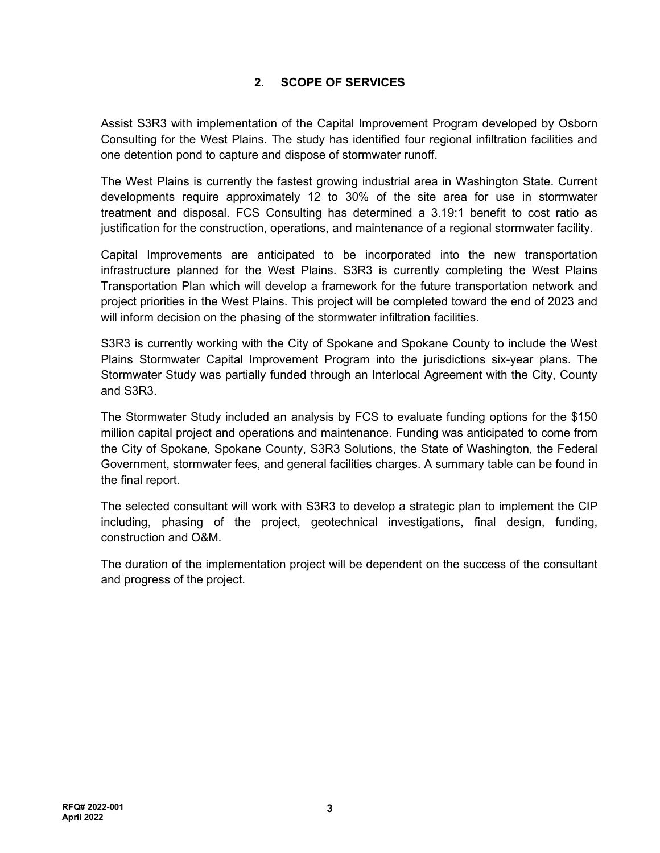## **2. SCOPE OF SERVICES**

Assist S3R3 with implementation of the Capital Improvement Program developed by Osborn Consulting for the West Plains. The study has identified four regional infiltration facilities and one detention pond to capture and dispose of stormwater runoff.

The West Plains is currently the fastest growing industrial area in Washington State. Current developments require approximately 12 to 30% of the site area for use in stormwater treatment and disposal. FCS Consulting has determined a 3.19:1 benefit to cost ratio as justification for the construction, operations, and maintenance of a regional stormwater facility.

Capital Improvements are anticipated to be incorporated into the new transportation infrastructure planned for the West Plains. S3R3 is currently completing the West Plains Transportation Plan which will develop a framework for the future transportation network and project priorities in the West Plains. This project will be completed toward the end of 2023 and will inform decision on the phasing of the stormwater infiltration facilities.

S3R3 is currently working with the City of Spokane and Spokane County to include the West Plains Stormwater Capital Improvement Program into the jurisdictions six-year plans. The Stormwater Study was partially funded through an Interlocal Agreement with the City, County and S3R3.

The Stormwater Study included an analysis by FCS to evaluate funding options for the \$150 million capital project and operations and maintenance. Funding was anticipated to come from the City of Spokane, Spokane County, S3R3 Solutions, the State of Washington, the Federal Government, stormwater fees, and general facilities charges. A summary table can be found in the final report.

The selected consultant will work with S3R3 to develop a strategic plan to implement the CIP including, phasing of the project, geotechnical investigations, final design, funding, construction and O&M.

The duration of the implementation project will be dependent on the success of the consultant and progress of the project.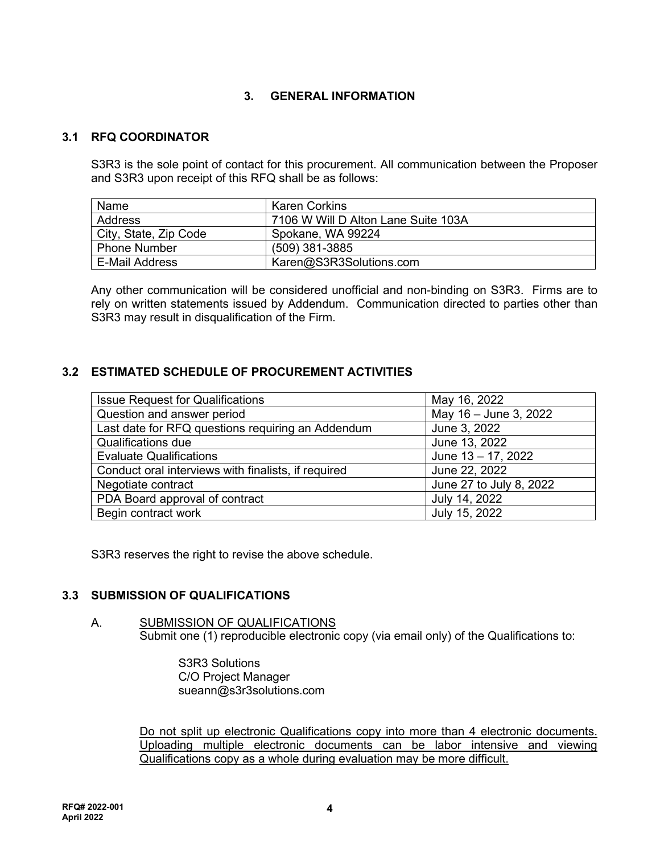## **3. GENERAL INFORMATION**

## **3.1 RFQ COORDINATOR**

S3R3 is the sole point of contact for this procurement. All communication between the Proposer and S3R3 upon receipt of this RFQ shall be as follows:

| Name                  | Karen Corkins                       |
|-----------------------|-------------------------------------|
| Address               | 7106 W Will D Alton Lane Suite 103A |
| City, State, Zip Code | Spokane, WA 99224                   |
| <b>Phone Number</b>   | (509) 381-3885                      |
| E-Mail Address        | Karen@S3R3Solutions.com             |

Any other communication will be considered unofficial and non-binding on S3R3. Firms are to rely on written statements issued by Addendum. Communication directed to parties other than S3R3 may result in disqualification of the Firm.

## **3.2 ESTIMATED SCHEDULE OF PROCUREMENT ACTIVITIES**

| <b>Issue Request for Qualifications</b>             | May 16, 2022            |
|-----------------------------------------------------|-------------------------|
| Question and answer period                          | May 16 - June 3, 2022   |
| Last date for RFQ questions requiring an Addendum   | June 3, 2022            |
| <b>Qualifications due</b>                           | June 13, 2022           |
| <b>Evaluate Qualifications</b>                      | June 13 - 17, 2022      |
| Conduct oral interviews with finalists, if required | June 22, 2022           |
| Negotiate contract                                  | June 27 to July 8, 2022 |
| PDA Board approval of contract                      | July 14, 2022           |
| Begin contract work                                 | July 15, 2022           |

S3R3 reserves the right to revise the above schedule.

## **3.3 SUBMISSION OF QUALIFICATIONS**

#### A. SUBMISSION OF QUALIFICATIONS Submit one (1) reproducible electronic copy (via email only) of the Qualifications to:

 S3R3 Solutions C/O Project Manager sueann@s3r3solutions.com

Do not split up electronic Qualifications copy into more than 4 electronic documents. Uploading multiple electronic documents can be labor intensive and viewing Qualifications copy as a whole during evaluation may be more difficult.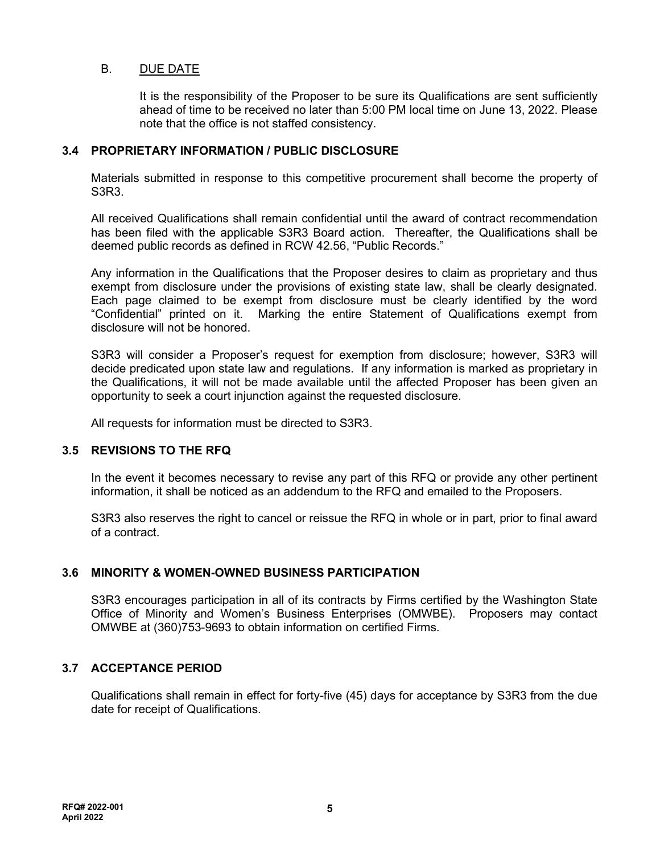## B. DUE DATE

It is the responsibility of the Proposer to be sure its Qualifications are sent sufficiently ahead of time to be received no later than 5:00 PM local time on June 13, 2022. Please note that the office is not staffed consistency.

## **3.4 PROPRIETARY INFORMATION / PUBLIC DISCLOSURE**

Materials submitted in response to this competitive procurement shall become the property of S3R3.

All received Qualifications shall remain confidential until the award of contract recommendation has been filed with the applicable S3R3 Board action. Thereafter, the Qualifications shall be deemed public records as defined in RCW 42.56, "Public Records."

Any information in the Qualifications that the Proposer desires to claim as proprietary and thus exempt from disclosure under the provisions of existing state law, shall be clearly designated. Each page claimed to be exempt from disclosure must be clearly identified by the word "Confidential" printed on it. Marking the entire Statement of Qualifications exempt from disclosure will not be honored.

S3R3 will consider a Proposer's request for exemption from disclosure; however, S3R3 will decide predicated upon state law and regulations. If any information is marked as proprietary in the Qualifications, it will not be made available until the affected Proposer has been given an opportunity to seek a court injunction against the requested disclosure.

All requests for information must be directed to S3R3.

## **3.5 REVISIONS TO THE RFQ**

In the event it becomes necessary to revise any part of this RFQ or provide any other pertinent information, it shall be noticed as an addendum to the RFQ and emailed to the Proposers.

S3R3 also reserves the right to cancel or reissue the RFQ in whole or in part, prior to final award of a contract.

#### **3.6 MINORITY & WOMEN-OWNED BUSINESS PARTICIPATION**

S3R3 encourages participation in all of its contracts by Firms certified by the Washington State Office of Minority and Women's Business Enterprises (OMWBE). Proposers may contact OMWBE at (360)753-9693 to obtain information on certified Firms.

## **3.7 ACCEPTANCE PERIOD**

Qualifications shall remain in effect for forty-five (45) days for acceptance by S3R3 from the due date for receipt of Qualifications.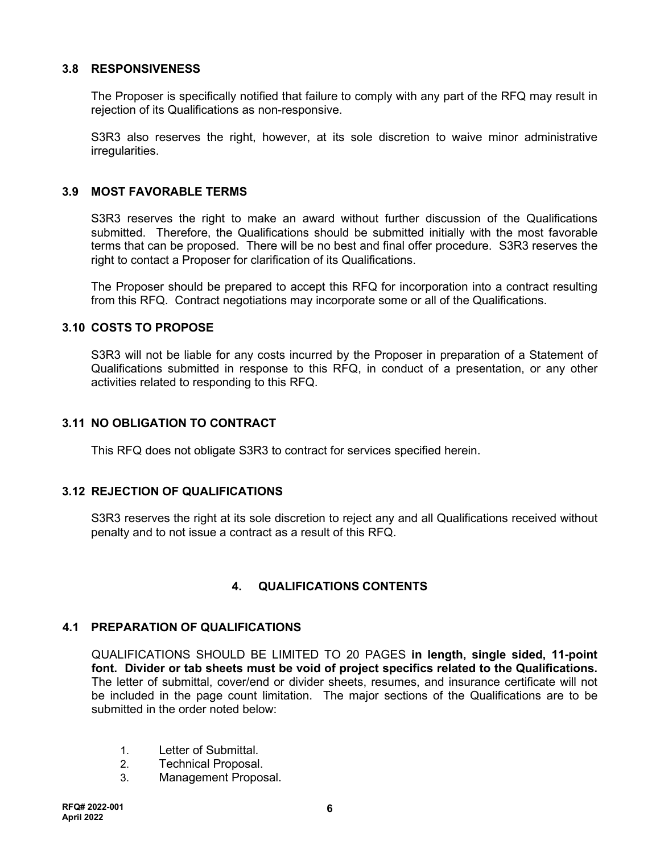## **3.8 RESPONSIVENESS**

The Proposer is specifically notified that failure to comply with any part of the RFQ may result in rejection of its Qualifications as non-responsive.

S3R3 also reserves the right, however, at its sole discretion to waive minor administrative irregularities.

#### **3.9 MOST FAVORABLE TERMS**

S3R3 reserves the right to make an award without further discussion of the Qualifications submitted. Therefore, the Qualifications should be submitted initially with the most favorable terms that can be proposed. There will be no best and final offer procedure. S3R3 reserves the right to contact a Proposer for clarification of its Qualifications.

The Proposer should be prepared to accept this RFQ for incorporation into a contract resulting from this RFQ. Contract negotiations may incorporate some or all of the Qualifications.

#### **3.10 COSTS TO PROPOSE**

S3R3 will not be liable for any costs incurred by the Proposer in preparation of a Statement of Qualifications submitted in response to this RFQ, in conduct of a presentation, or any other activities related to responding to this RFQ.

## **3.11 NO OBLIGATION TO CONTRACT**

This RFQ does not obligate S3R3 to contract for services specified herein.

#### **3.12 REJECTION OF QUALIFICATIONS**

S3R3 reserves the right at its sole discretion to reject any and all Qualifications received without penalty and to not issue a contract as a result of this RFQ.

## **4. QUALIFICATIONS CONTENTS**

#### **4.1 PREPARATION OF QUALIFICATIONS**

QUALIFICATIONS SHOULD BE LIMITED TO 20 PAGES **in length, single sided, 11-point font. Divider or tab sheets must be void of project specifics related to the Qualifications.** The letter of submittal, cover/end or divider sheets, resumes, and insurance certificate will not be included in the page count limitation. The major sections of the Qualifications are to be submitted in the order noted below:

- 1. Letter of Submittal.
- 2. Technical Proposal.
- 3. Management Proposal.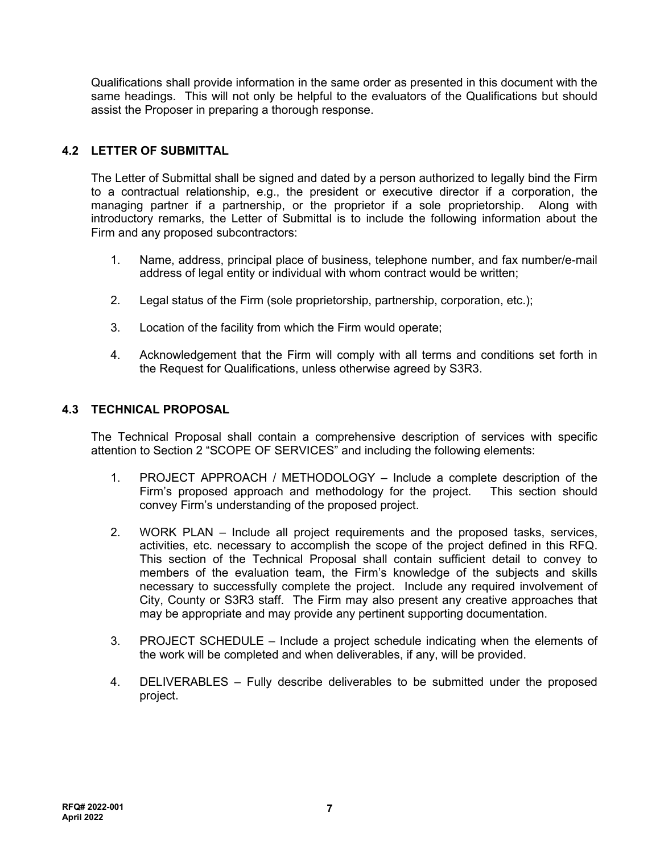Qualifications shall provide information in the same order as presented in this document with the same headings. This will not only be helpful to the evaluators of the Qualifications but should assist the Proposer in preparing a thorough response.

## **4.2 LETTER OF SUBMITTAL**

The Letter of Submittal shall be signed and dated by a person authorized to legally bind the Firm to a contractual relationship, e.g., the president or executive director if a corporation, the managing partner if a partnership, or the proprietor if a sole proprietorship. Along with introductory remarks, the Letter of Submittal is to include the following information about the Firm and any proposed subcontractors:

- 1. Name, address, principal place of business, telephone number, and fax number/e-mail address of legal entity or individual with whom contract would be written;
- 2. Legal status of the Firm (sole proprietorship, partnership, corporation, etc.);
- 3. Location of the facility from which the Firm would operate;
- 4. Acknowledgement that the Firm will comply with all terms and conditions set forth in the Request for Qualifications, unless otherwise agreed by S3R3.

## **4.3 TECHNICAL PROPOSAL**

The Technical Proposal shall contain a comprehensive description of services with specific attention to Section 2 "SCOPE OF SERVICES" and including the following elements:

- 1. PROJECT APPROACH / METHODOLOGY Include a complete description of the Firm's proposed approach and methodology for the project. This section should convey Firm's understanding of the proposed project.
- 2. WORK PLAN Include all project requirements and the proposed tasks, services, activities, etc. necessary to accomplish the scope of the project defined in this RFQ. This section of the Technical Proposal shall contain sufficient detail to convey to members of the evaluation team, the Firm's knowledge of the subjects and skills necessary to successfully complete the project. Include any required involvement of City, County or S3R3 staff. The Firm may also present any creative approaches that may be appropriate and may provide any pertinent supporting documentation.
- 3. PROJECT SCHEDULE Include a project schedule indicating when the elements of the work will be completed and when deliverables, if any, will be provided.
- 4. DELIVERABLES Fully describe deliverables to be submitted under the proposed project.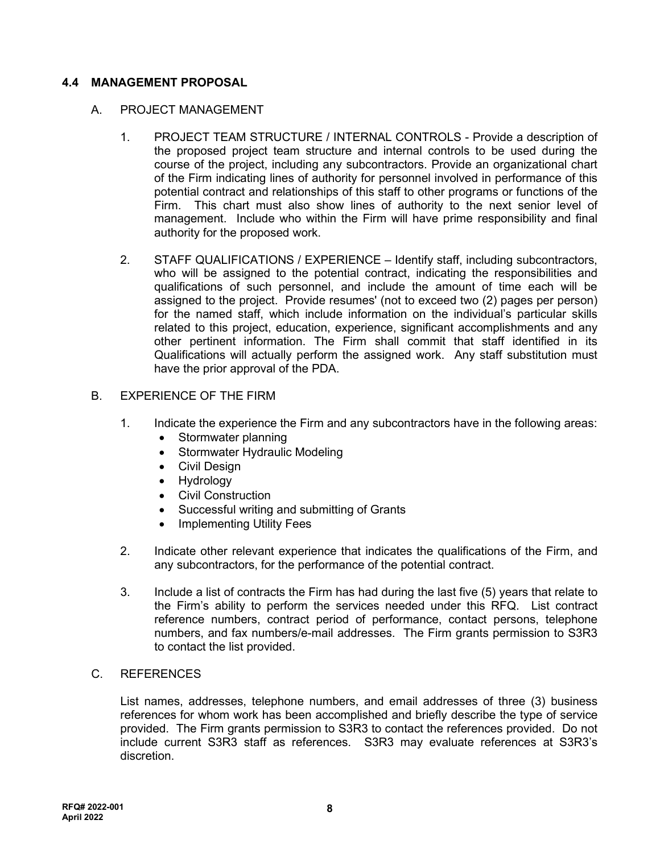## **4.4 MANAGEMENT PROPOSAL**

## A. PROJECT MANAGEMENT

- 1. PROJECT TEAM STRUCTURE / INTERNAL CONTROLS Provide a description of the proposed project team structure and internal controls to be used during the course of the project, including any subcontractors. Provide an organizational chart of the Firm indicating lines of authority for personnel involved in performance of this potential contract and relationships of this staff to other programs or functions of the Firm. This chart must also show lines of authority to the next senior level of management. Include who within the Firm will have prime responsibility and final authority for the proposed work.
- 2. STAFF QUALIFICATIONS / EXPERIENCE Identify staff, including subcontractors, who will be assigned to the potential contract, indicating the responsibilities and qualifications of such personnel, and include the amount of time each will be assigned to the project. Provide resumes' (not to exceed two (2) pages per person) for the named staff, which include information on the individual's particular skills related to this project, education, experience, significant accomplishments and any other pertinent information. The Firm shall commit that staff identified in its Qualifications will actually perform the assigned work. Any staff substitution must have the prior approval of the PDA.

#### B. EXPERIENCE OF THE FIRM

- 1. Indicate the experience the Firm and any subcontractors have in the following areas:
	- Stormwater planning
	- Stormwater Hydraulic Modeling
	- Civil Design
	- Hydrology
	- Civil Construction
	- Successful writing and submitting of Grants
	- Implementing Utility Fees
- 2. Indicate other relevant experience that indicates the qualifications of the Firm, and any subcontractors, for the performance of the potential contract.
- 3. Include a list of contracts the Firm has had during the last five (5) years that relate to the Firm's ability to perform the services needed under this RFQ. List contract reference numbers, contract period of performance, contact persons, telephone numbers, and fax numbers/e-mail addresses. The Firm grants permission to S3R3 to contact the list provided.

#### C. REFERENCES

List names, addresses, telephone numbers, and email addresses of three (3) business references for whom work has been accomplished and briefly describe the type of service provided. The Firm grants permission to S3R3 to contact the references provided. Do not include current S3R3 staff as references. S3R3 may evaluate references at S3R3's discretion.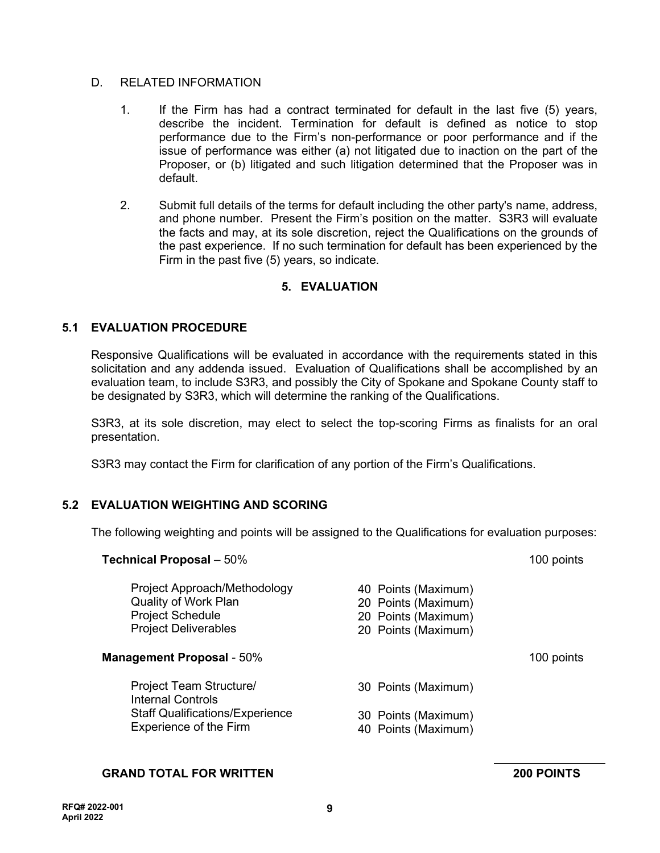## D. RELATED INFORMATION

- 1. If the Firm has had a contract terminated for default in the last five (5) years, describe the incident. Termination for default is defined as notice to stop performance due to the Firm's non-performance or poor performance and if the issue of performance was either (a) not litigated due to inaction on the part of the Proposer, or (b) litigated and such litigation determined that the Proposer was in default.
- 2. Submit full details of the terms for default including the other party's name, address, and phone number. Present the Firm's position on the matter. S3R3 will evaluate the facts and may, at its sole discretion, reject the Qualifications on the grounds of the past experience. If no such termination for default has been experienced by the Firm in the past five (5) years, so indicate.

## **5. EVALUATION**

## **5.1 EVALUATION PROCEDURE**

Responsive Qualifications will be evaluated in accordance with the requirements stated in this solicitation and any addenda issued. Evaluation of Qualifications shall be accomplished by an evaluation team, to include S3R3, and possibly the City of Spokane and Spokane County staff to be designated by S3R3, which will determine the ranking of the Qualifications.

S3R3, at its sole discretion, may elect to select the top-scoring Firms as finalists for an oral presentation.

S3R3 may contact the Firm for clarification of any portion of the Firm's Qualifications.

## **5.2 EVALUATION WEIGHTING AND SCORING**

The following weighting and points will be assigned to the Qualifications for evaluation purposes:

| <b>Technical Proposal</b> - 50%                                                                                | 100 points                                                                               |            |
|----------------------------------------------------------------------------------------------------------------|------------------------------------------------------------------------------------------|------------|
| Project Approach/Methodology<br>Quality of Work Plan<br><b>Project Schedule</b><br><b>Project Deliverables</b> | 40 Points (Maximum)<br>20 Points (Maximum)<br>20 Points (Maximum)<br>20 Points (Maximum) |            |
| <b>Management Proposal - 50%</b>                                                                               |                                                                                          | 100 points |
| <b>Project Team Structure/</b><br><b>Internal Controls</b>                                                     | 30 Points (Maximum)                                                                      |            |
| <b>Staff Qualifications/Experience</b><br>Experience of the Firm                                               | 30 Points (Maximum)<br>40 Points (Maximum)                                               |            |
|                                                                                                                |                                                                                          |            |

## **GRAND TOTAL FOR WRITTEN 200 POINTS**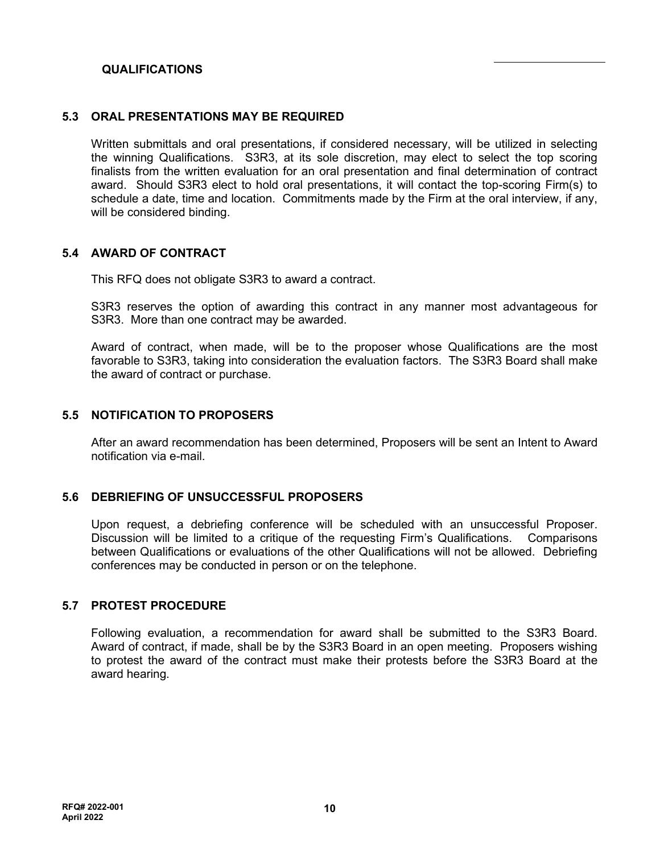## **QUALIFICATIONS**

#### **5.3 ORAL PRESENTATIONS MAY BE REQUIRED**

Written submittals and oral presentations, if considered necessary, will be utilized in selecting the winning Qualifications. S3R3, at its sole discretion, may elect to select the top scoring finalists from the written evaluation for an oral presentation and final determination of contract award. Should S3R3 elect to hold oral presentations, it will contact the top-scoring Firm(s) to schedule a date, time and location. Commitments made by the Firm at the oral interview, if any, will be considered binding.

## **5.4 AWARD OF CONTRACT**

This RFQ does not obligate S3R3 to award a contract.

S3R3 reserves the option of awarding this contract in any manner most advantageous for S3R3. More than one contract may be awarded.

Award of contract, when made, will be to the proposer whose Qualifications are the most favorable to S3R3, taking into consideration the evaluation factors. The S3R3 Board shall make the award of contract or purchase.

#### **5.5 NOTIFICATION TO PROPOSERS**

After an award recommendation has been determined, Proposers will be sent an Intent to Award notification via e-mail.

#### **5.6 DEBRIEFING OF UNSUCCESSFUL PROPOSERS**

Upon request, a debriefing conference will be scheduled with an unsuccessful Proposer. Discussion will be limited to a critique of the requesting Firm's Qualifications. Comparisons between Qualifications or evaluations of the other Qualifications will not be allowed. Debriefing conferences may be conducted in person or on the telephone.

#### **5.7 PROTEST PROCEDURE**

Following evaluation, a recommendation for award shall be submitted to the S3R3 Board. Award of contract, if made, shall be by the S3R3 Board in an open meeting. Proposers wishing to protest the award of the contract must make their protests before the S3R3 Board at the award hearing.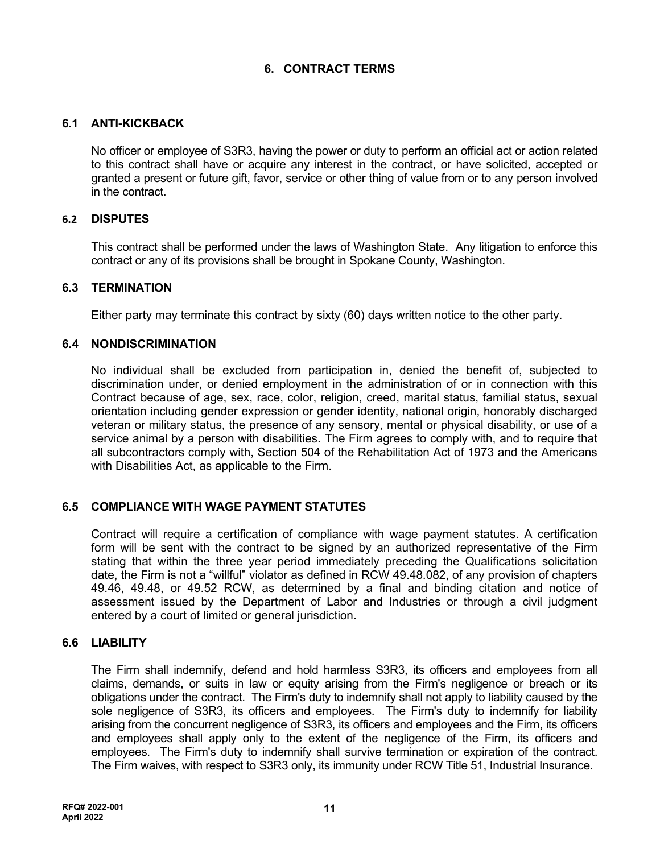## **6. CONTRACT TERMS**

## **6.1 ANTI-KICKBACK**

No officer or employee of S3R3, having the power or duty to perform an official act or action related to this contract shall have or acquire any interest in the contract, or have solicited, accepted or granted a present or future gift, favor, service or other thing of value from or to any person involved in the contract.

## **6.2 DISPUTES**

This contract shall be performed under the laws of Washington State. Any litigation to enforce this contract or any of its provisions shall be brought in Spokane County, Washington.

#### **6.3 TERMINATION**

Either party may terminate this contract by sixty (60) days written notice to the other party.

#### **6.4 NONDISCRIMINATION**

No individual shall be excluded from participation in, denied the benefit of, subjected to discrimination under, or denied employment in the administration of or in connection with this Contract because of age, sex, race, color, religion, creed, marital status, familial status, sexual orientation including gender expression or gender identity, national origin, honorably discharged veteran or military status, the presence of any sensory, mental or physical disability, or use of a service animal by a person with disabilities. The Firm agrees to comply with, and to require that all subcontractors comply with, Section 504 of the Rehabilitation Act of 1973 and the Americans with Disabilities Act, as applicable to the Firm.

## **6.5 COMPLIANCE WITH WAGE PAYMENT STATUTES**

Contract will require a certification of compliance with wage payment statutes. A certification form will be sent with the contract to be signed by an authorized representative of the Firm stating that within the three year period immediately preceding the Qualifications solicitation date, the Firm is not a "willful" violator as defined in RCW 49.48.082, of any provision of chapters 49.46, 49.48, or 49.52 RCW, as determined by a final and binding citation and notice of assessment issued by the Department of Labor and Industries or through a civil judgment entered by a court of limited or general jurisdiction.

#### **6.6 LIABILITY**

The Firm shall indemnify, defend and hold harmless S3R3, its officers and employees from all claims, demands, or suits in law or equity arising from the Firm's negligence or breach or its obligations under the contract. The Firm's duty to indemnify shall not apply to liability caused by the sole negligence of S3R3, its officers and employees. The Firm's duty to indemnify for liability arising from the concurrent negligence of S3R3, its officers and employees and the Firm, its officers and employees shall apply only to the extent of the negligence of the Firm, its officers and employees. The Firm's duty to indemnify shall survive termination or expiration of the contract. The Firm waives, with respect to S3R3 only, its immunity under RCW Title 51, Industrial Insurance.